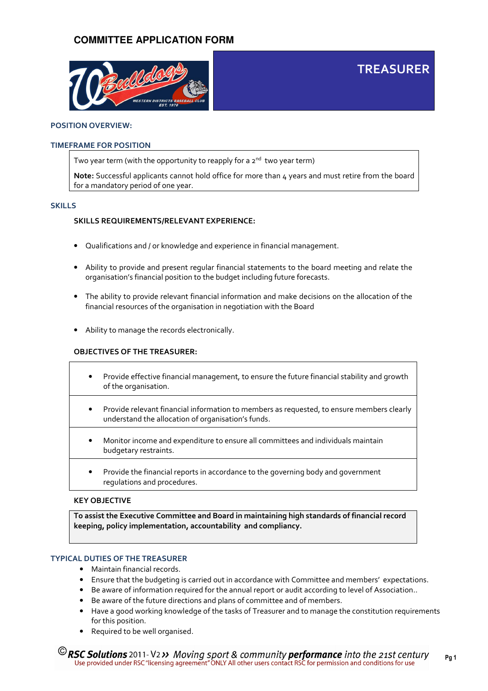

### POSITION OVERVIEW:

### TIMEFRAME FOR POSITION

Two year term (with the opportunity to reapply for a  $2<sup>nd</sup>$  two year term)

Note: Successful applicants cannot hold office for more than  $4$  years and must retire from the board for a mandatory period of one year.

TREASURER

### SKILLS

### SKILLS REQUIREMENTS/RELEVANT EXPERIENCE:

- Qualifications and / or knowledge and experience in financial management.
- Ability to provide and present regular financial statements to the board meeting and relate the organisation's financial position to the budget including future forecasts.
- The ability to provide relevant financial information and make decisions on the allocation of the financial resources of the organisation in negotiation with the Board
- Ability to manage the records electronically.

### OBJECTIVES OF THE TREASURER:

- Provide effective financial management, to ensure the future financial stability and growth of the organisation.
- Provide relevant financial information to members as requested, to ensure members clearly understand the allocation of organisation's funds.
- Monitor income and expenditure to ensure all committees and individuals maintain budgetary restraints.
- Provide the financial reports in accordance to the governing body and government regulations and procedures.

### KEY OBJECTIVE

To assist the Executive Committee and Board in maintaining high standards of financial record keeping, policy implementation, accountability and compliancy.

### TYPICAL DUTIES OF THE TREASURER

- Maintain financial records.
- Ensure that the budgeting is carried out in accordance with Committee and members' expectations.
- Be aware of information required for the annual report or audit according to level of Association..
- Be aware of the future directions and plans of committee and of members.
- Have a good working knowledge of the tasks of Treasurer and to manage the constitution requirements for this position.
- Required to be well organised.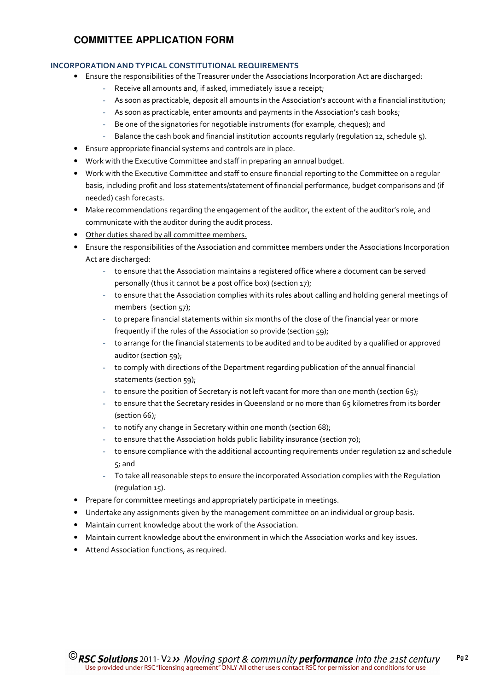### INCORPORATION AND TYPICAL CONSTITUTIONAL REQUIREMENTS

- Ensure the responsibilities of the Treasurer under the Associations Incorporation Act are discharged:
	- Receive all amounts and, if asked, immediately issue a receipt;
	- As soon as practicable, deposit all amounts in the Association's account with a financial institution;
	- As soon as practicable, enter amounts and payments in the Association's cash books;
	- Be one of the signatories for negotiable instruments (for example, cheques); and
	- Balance the cash book and financial institution accounts regularly (regulation 12, schedule 5).
- Ensure appropriate financial systems and controls are in place.
- Work with the Executive Committee and staff in preparing an annual budget.
- Work with the Executive Committee and staff to ensure financial reporting to the Committee on a regular basis, including profit and loss statements/statement of financial performance, budget comparisons and (if needed) cash forecasts.
- Make recommendations regarding the engagement of the auditor, the extent of the auditor's role, and communicate with the auditor during the audit process.
- Other duties shared by all committee members.
- Ensure the responsibilities of the Association and committee members under the Associations Incorporation Act are discharged:
	- to ensure that the Association maintains a registered office where a document can be served personally (thus it cannot be a post office box) (section 17);
	- to ensure that the Association complies with its rules about calling and holding general meetings of members (section 57);
	- to prepare financial statements within six months of the close of the financial year or more frequently if the rules of the Association so provide (section 59);
	- to arrange for the financial statements to be audited and to be audited by a qualified or approved auditor (section 59);
	- to comply with directions of the Department regarding publication of the annual financial statements (section 59);
	- to ensure the position of Secretary is not left vacant for more than one month (section 65);
	- to ensure that the Secretary resides in Queensland or no more than 65 kilometres from its border (section 66);
	- to notify any change in Secretary within one month (section 68);
	- to ensure that the Association holds public liability insurance (section 70);
	- to ensure compliance with the additional accounting requirements under regulation 12 and schedule 5; and
	- To take all reasonable steps to ensure the incorporated Association complies with the Regulation (regulation 15).
- Prepare for committee meetings and appropriately participate in meetings.
- Undertake any assignments given by the management committee on an individual or group basis.
- Maintain current knowledge about the work of the Association.
- Maintain current knowledge about the environment in which the Association works and key issues.
- Attend Association functions, as required.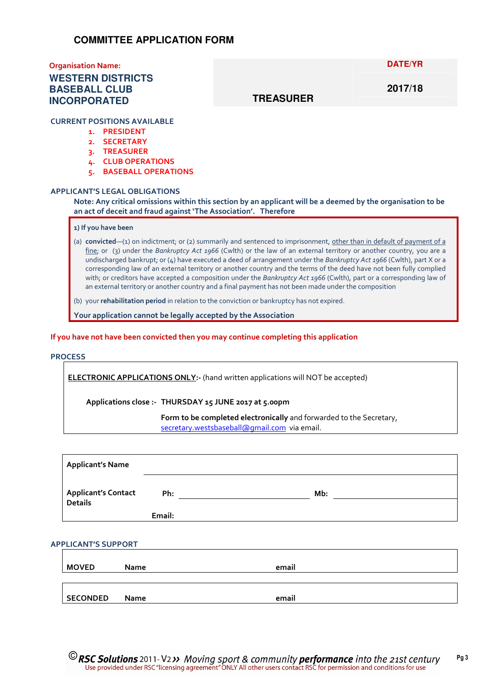### Organisation Name:

### **WESTERN DISTRICTS BASEBALL CLUB INCORPORATED**

**DATE/YR** 

**2017/18** 

### **TREASURER**

CURRENT POSITIONS AVAILABLE

- 1. PRESIDENT
- 2. SECRETARY
- 3. TREASURER
- 4. CLUB OPERATIONS
- 5. BASEBALL OPERATIONS

### APPLICANT'S LEGAL OBLIGATIONS

Note: Any critical omissions within this section by an applicant will be a deemed by the organisation to be an act of deceit and fraud against 'The Association'. Therefore

### 1) If you have been

(a) convicted—(1) on indictment; or (2) summarily and sentenced to imprisonment, other than in default of payment of a fine; or (3) under the Bankruptcy Act 1966 (Cwlth) or the law of an external territory or another country, you are a undischarged bankrupt; or (4) have executed a deed of arrangement under the Bankruptcy Act 1966 (Cwlth), part X or a corresponding law of an external territory or another country and the terms of the deed have not been fully complied with; or creditors have accepted a composition under the Bankruptcy Act 1966 (Cwlth), part or a corresponding law of an external territory or another country and a final payment has not been made under the composition

(b) your rehabilitation period in relation to the conviction or bankruptcy has not expired.

Your application cannot be legally accepted by the Association

#### If you have not have been convicted then you may continue completing this application

#### PROCESS

ELECTRONIC APPLICATIONS ONLY:- (hand written applications will NOT be accepted)

Applications close :- THURSDAY 15 JUNE 2017 at 5.00pm

Form to be completed electronically and forwarded to the Secretary, secretary.westsbaseball@gmail.com via email.

|                            | <b>Applicant's Name</b>    |        |       |  |  |
|----------------------------|----------------------------|--------|-------|--|--|
|                            | <b>Applicant's Contact</b> | Ph:    | Mb:   |  |  |
|                            | <b>Details</b>             | Email: |       |  |  |
|                            |                            |        |       |  |  |
| <b>APPLICANT'S SUPPORT</b> |                            |        |       |  |  |
|                            |                            |        |       |  |  |
|                            | <b>MOVED</b>               | Name   | email |  |  |

SECONDED Name email

**C** RSC Solutions 2011- V2 >> Moving sport & community performance into the 21st century Use provided under RSC "licensing agreement" ONLY All other users contact RSC for permission and conditions for use Pg 3